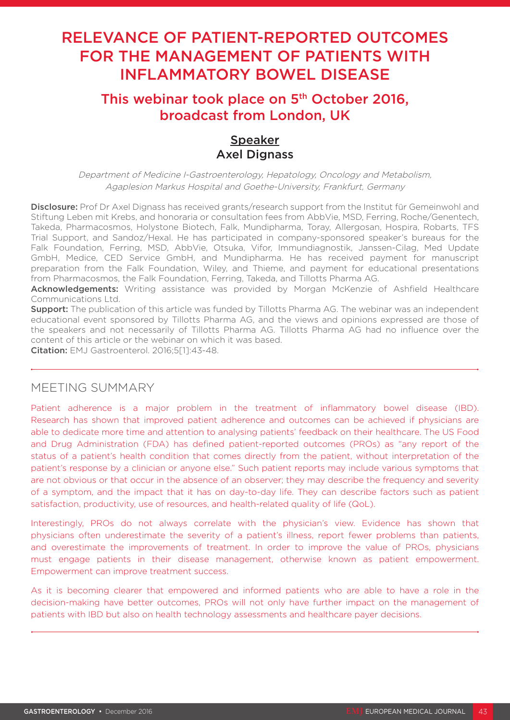# RELEVANCE OF PATIENT-REPORTED OUTCOMES FOR THE MANAGEMENT OF PATIENTS WITH INFLAMMATORY BOWEL DISEASE

# This webinar took place on 5<sup>th</sup> October 2016, broadcast from London, UK

## Speaker **Axel Dignass**

Department of Medicine I-Gastroenterology, Hepatology, Oncology and Metabolism, Agaplesion Markus Hospital and Goethe-University, Frankfurt, Germany

Disclosure: Prof Dr Axel Dignass has received grants/research support from the Institut für Gemeinwohl and Stiftung Leben mit Krebs, and honoraria or consultation fees from AbbVie, MSD, Ferring, Roche/Genentech, Takeda, Pharmacosmos, Holystone Biotech, Falk, Mundipharma, Toray, Allergosan, Hospira, Robarts, TFS Trial Support, and Sandoz/Hexal. He has participated in company-sponsored speaker's bureaus for the Falk Foundation, Ferring, MSD, AbbVie, Otsuka, Vifor, Immundiagnostik, Janssen-Cilag, Med Update GmbH, Medice, CED Service GmbH, and Mundipharma. He has received payment for manuscript preparation from the Falk Foundation, Wiley, and Thieme, and payment for educational presentations from Pharmacosmos, the Falk Foundation, Ferring, Takeda, and Tillotts Pharma AG.

Acknowledgements: Writing assistance was provided by Morgan McKenzie of Ashfield Healthcare Communications Ltd.

**Support:** The publication of this article was funded by Tillotts Pharma AG. The webinar was an independent educational event sponsored by Tillotts Pharma AG, and the views and opinions expressed are those of the speakers and not necessarily of Tillotts Pharma AG. Tillotts Pharma AG had no influence over the content of this article or the webinar on which it was based.

Citation: EMJ Gastroenterol. 2016;5[1]:43-48.

### MEETING SUMMARY

Patient adherence is a major problem in the treatment of inflammatory bowel disease (IBD). Research has shown that improved patient adherence and outcomes can be achieved if physicians are able to dedicate more time and attention to analysing patients' feedback on their healthcare. The US Food and Drug Administration (FDA) has defined patient-reported outcomes (PROs) as "any report of the status of a patient's health condition that comes directly from the patient, without interpretation of the patient's response by a clinician or anyone else." Such patient reports may include various symptoms that are not obvious or that occur in the absence of an observer; they may describe the frequency and severity of a symptom, and the impact that it has on day-to-day life. They can describe factors such as patient satisfaction, productivity, use of resources, and health-related quality of life (QoL).

Interestingly, PROs do not always correlate with the physician's view. Evidence has shown that physicians often underestimate the severity of a patient's illness, report fewer problems than patients, and overestimate the improvements of treatment. In order to improve the value of PROs, physicians must engage patients in their disease management, otherwise known as patient empowerment. Empowerment can improve treatment success.

As it is becoming clearer that empowered and informed patients who are able to have a role in the decision-making have better outcomes, PROs will not only have further impact on the management of patients with IBD but also on health technology assessments and healthcare payer decisions.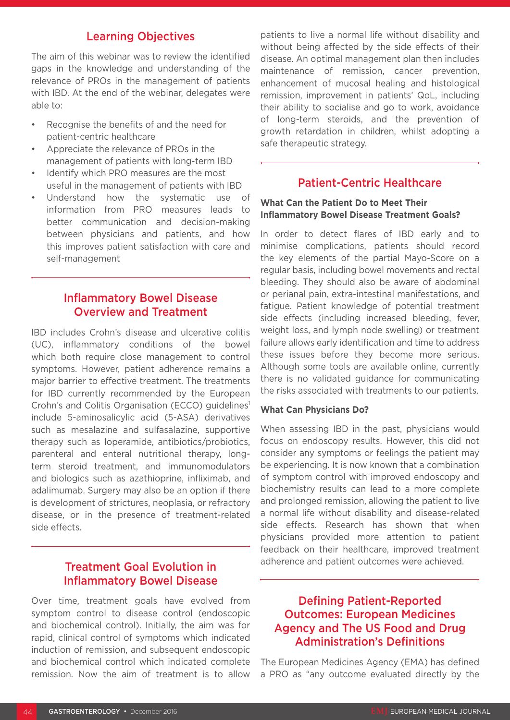#### Learning Objectives

The aim of this webinar was to review the identified gaps in the knowledge and understanding of the relevance of PROs in the management of patients with IBD. At the end of the webinar, delegates were able to:

- Recognise the benefits of and the need for patient-centric healthcare
- Appreciate the relevance of PROs in the management of patients with long-term IBD
- Identify which PRO measures are the most useful in the management of patients with IBD
- Understand how the systematic use of information from PRO measures leads to better communication and decision-making between physicians and patients, and how this improves patient satisfaction with care and self-management

#### Inflammatory Bowel Disease Overview and Treatment

IBD includes Crohn's disease and ulcerative colitis (UC), inflammatory conditions of the bowel which both require close management to control symptoms. However, patient adherence remains a major barrier to effective treatment. The treatments for IBD currently recommended by the European Crohn's and Colitis Organisation (ECCO) guidelines1 include 5-aminosalicylic acid (5-ASA) derivatives such as mesalazine and sulfasalazine, supportive therapy such as loperamide, antibiotics/probiotics, parenteral and enteral nutritional therapy, longterm steroid treatment, and immunomodulators and biologics such as azathioprine, infliximab, and adalimumab. Surgery may also be an option if there is development of strictures, neoplasia, or refractory disease, or in the presence of treatment-related side effects.

### Treatment Goal Evolution in Inflammatory Bowel Disease

Over time, treatment goals have evolved from symptom control to disease control (endoscopic and biochemical control). Initially, the aim was for rapid, clinical control of symptoms which indicated induction of remission, and subsequent endoscopic and biochemical control which indicated complete remission. Now the aim of treatment is to allow patients to live a normal life without disability and without being affected by the side effects of their disease. An optimal management plan then includes maintenance of remission, cancer prevention, enhancement of mucosal healing and histological remission, improvement in patients' QoL, including their ability to socialise and go to work, avoidance of long-term steroids, and the prevention of growth retardation in children, whilst adopting a safe therapeutic strategy.

### Patient-Centric Healthcare

#### **What Can the Patient Do to Meet Their Inflammatory Bowel Disease Treatment Goals?**

In order to detect flares of IBD early and to minimise complications, patients should record the key elements of the partial Mayo-Score on a regular basis, including bowel movements and rectal bleeding. They should also be aware of abdominal or perianal pain, extra-intestinal manifestations, and fatigue. Patient knowledge of potential treatment side effects (including increased bleeding, fever, weight loss, and lymph node swelling) or treatment failure allows early identification and time to address these issues before they become more serious. Although some tools are available online, currently there is no validated guidance for communicating the risks associated with treatments to our patients.

#### **What Can Physicians Do?**

When assessing IBD in the past, physicians would focus on endoscopy results. However, this did not consider any symptoms or feelings the patient may be experiencing. It is now known that a combination of symptom control with improved endoscopy and biochemistry results can lead to a more complete and prolonged remission, allowing the patient to live a normal life without disability and disease-related side effects. Research has shown that when physicians provided more attention to patient feedback on their healthcare, improved treatment adherence and patient outcomes were achieved.

### Defining Patient-Reported Outcomes: European Medicines Agency and The US Food and Drug Administration's Definitions

The European Medicines Agency (EMA) has defined a PRO as "any outcome evaluated directly by the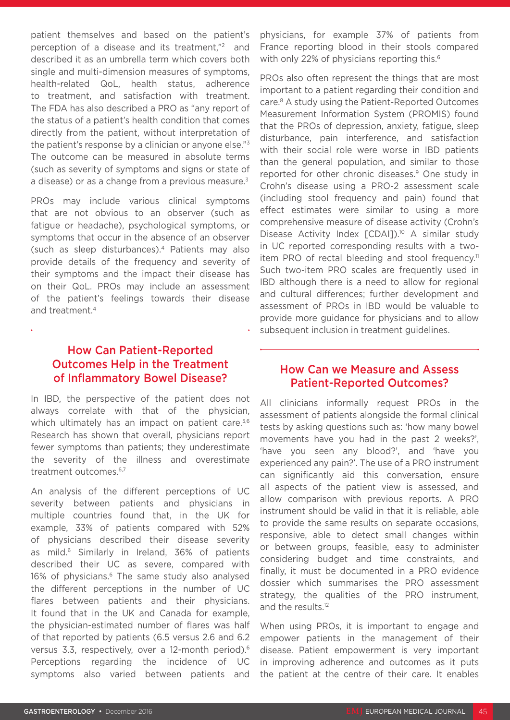patient themselves and based on the patient's perception of a disease and its treatment,"2 and described it as an umbrella term which covers both single and multi-dimension measures of symptoms, health-related QoL, health status, adherence to treatment, and satisfaction with treatment. The FDA has also described a PRO as "any report of the status of a patient's health condition that comes directly from the patient, without interpretation of the patient's response by a clinician or anyone else."3 The outcome can be measured in absolute terms (such as severity of symptoms and signs or state of a disease) or as a change from a previous measure.<sup>3</sup>

PROs may include various clinical symptoms that are not obvious to an observer (such as fatigue or headache), psychological symptoms, or symptoms that occur in the absence of an observer (such as sleep disturbances).4 Patients may also provide details of the frequency and severity of their symptoms and the impact their disease has on their QoL. PROs may include an assessment of the patient's feelings towards their disease and treatment.4

### How Can Patient-Reported Outcomes Help in the Treatment of Inflammatory Bowel Disease?

In IBD, the perspective of the patient does not always correlate with that of the physician, which ultimately has an impact on patient care.<sup>5,6</sup> Research has shown that overall, physicians report fewer symptoms than patients; they underestimate the severity of the illness and overestimate treatment outcomes.<sup>6,7</sup>

An analysis of the different perceptions of UC severity between patients and physicians in multiple countries found that, in the UK for example, 33% of patients compared with 52% of physicians described their disease severity as mild.<sup>6</sup> Similarly in Ireland, 36% of patients described their UC as severe, compared with 16% of physicians.<sup>6</sup> The same study also analysed the different perceptions in the number of UC flares between patients and their physicians. It found that in the UK and Canada for example, the physician-estimated number of flares was half of that reported by patients (6.5 versus 2.6 and 6.2 versus 3.3, respectively, over a 12-month period).6 Perceptions regarding the incidence of UC symptoms also varied between patients and

physicians, for example 37% of patients from France reporting blood in their stools compared with only 22% of physicians reporting this.<sup>6</sup>

PROs also often represent the things that are most important to a patient regarding their condition and care.8 A study using the Patient-Reported Outcomes Measurement Information System (PROMIS) found that the PROs of depression, anxiety, fatigue, sleep disturbance, pain interference, and satisfaction with their social role were worse in IBD patients than the general population, and similar to those reported for other chronic diseases.<sup>9</sup> One study in Crohn's disease using a PRO-2 assessment scale (including stool frequency and pain) found that effect estimates were similar to using a more comprehensive measure of disease activity (Crohn's Disease Activity Index [CDAI]).<sup>10</sup> A similar study in UC reported corresponding results with a twoitem PRO of rectal bleeding and stool frequency.<sup>11</sup> Such two-item PRO scales are frequently used in IBD although there is a need to allow for regional and cultural differences; further development and assessment of PROs in IBD would be valuable to provide more guidance for physicians and to allow subsequent inclusion in treatment guidelines.

#### How Can we Measure and Assess Patient-Reported Outcomes?

All clinicians informally request PROs in the assessment of patients alongside the formal clinical tests by asking questions such as: 'how many bowel movements have you had in the past 2 weeks?', 'have you seen any blood?', and 'have you experienced any pain?'. The use of a PRO instrument can significantly aid this conversation, ensure all aspects of the patient view is assessed, and allow comparison with previous reports. A PRO instrument should be valid in that it is reliable, able to provide the same results on separate occasions, responsive, able to detect small changes within or between groups, feasible, easy to administer considering budget and time constraints, and finally, it must be documented in a PRO evidence dossier which summarises the PRO assessment strategy, the qualities of the PRO instrument, and the results.12

When using PROs, it is important to engage and empower patients in the management of their disease. Patient empowerment is very important in improving adherence and outcomes as it puts the patient at the centre of their care. It enables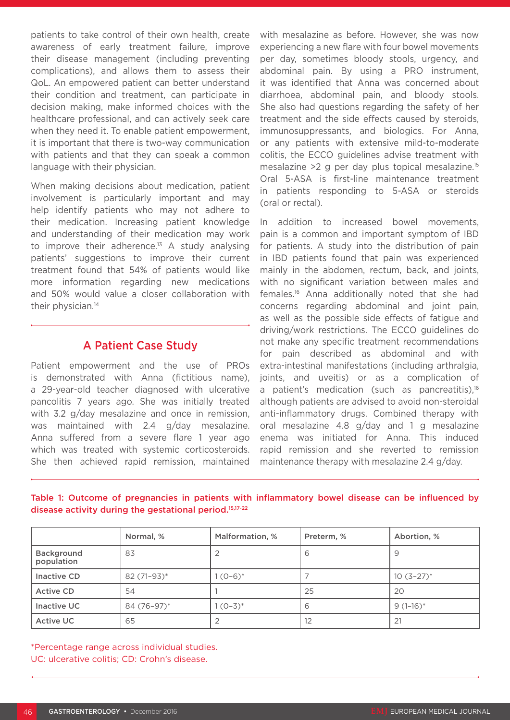patients to take control of their own health, create awareness of early treatment failure, improve their disease management (including preventing complications), and allows them to assess their QoL. An empowered patient can better understand their condition and treatment, can participate in decision making, make informed choices with the healthcare professional, and can actively seek care when they need it. To enable patient empowerment, it is important that there is two-way communication with patients and that they can speak a common language with their physician.

When making decisions about medication, patient involvement is particularly important and may help identify patients who may not adhere to their medication. Increasing patient knowledge and understanding of their medication may work to improve their adherence.<sup>13</sup> A study analysing patients' suggestions to improve their current treatment found that 54% of patients would like more information regarding new medications and 50% would value a closer collaboration with their physician.<sup>14</sup>

### A Patient Case Study

Patient empowerment and the use of PROs is demonstrated with Anna (fictitious name), a 29-year-old teacher diagnosed with ulcerative pancolitis 7 years ago. She was initially treated with 3.2 g/day mesalazine and once in remission, was maintained with 2.4 g/day mesalazine. Anna suffered from a severe flare 1 year ago which was treated with systemic corticosteroids. She then achieved rapid remission, maintained

with mesalazine as before. However, she was now experiencing a new flare with four bowel movements per day, sometimes bloody stools, urgency, and abdominal pain. By using a PRO instrument, it was identified that Anna was concerned about diarrhoea, abdominal pain, and bloody stools. She also had questions regarding the safety of her treatment and the side effects caused by steroids, immunosuppressants, and biologics. For Anna, or any patients with extensive mild-to-moderate colitis, the ECCO guidelines advise treatment with mesalazine >2 g per day plus topical mesalazine.15 Oral 5-ASA is first-line maintenance treatment in patients responding to 5-ASA or steroids (oral or rectal).

In addition to increased bowel movements, pain is a common and important symptom of IBD for patients. A study into the distribution of pain in IBD patients found that pain was experienced mainly in the abdomen, rectum, back, and joints, with no significant variation between males and females.16 Anna additionally noted that she had concerns regarding abdominal and joint pain, as well as the possible side effects of fatigue and driving/work restrictions. The ECCO guidelines do not make any specific treatment recommendations for pain described as abdominal and with extra-intestinal manifestations (including arthralgia, joints, and uveitis) or as a complication of a patient's medication (such as pancreatitis), $16$ although patients are advised to avoid non-steroidal anti-inflammatory drugs. Combined therapy with oral mesalazine 4.8 g/day and 1 g mesalazine enema was initiated for Anna. This induced rapid remission and she reverted to remission maintenance therapy with mesalazine 2.4 g/day.

|                          | Normal, %     | Malformation, % | Preterm, % | Abortion, %  |
|--------------------------|---------------|-----------------|------------|--------------|
| Background<br>population | 83            |                 | 6          |              |
| Inactive CD              | $82(71-93)^*$ | $1(0-6)^{*}$    |            | $10(3-27)^*$ |
| <b>Active CD</b>         | 54            |                 | 25         | 20           |
| Inactive UC              | 84 (76-97)*   | $1(0-3)^{*}$    | 6          | $9(1-16)^*$  |
| <b>Active UC</b>         | 65            |                 | 12         | 21           |

Table 1: Outcome of pregnancies in patients with inflammatory bowel disease can be influenced by disease activity during the gestational period.15,17-22

\*Percentage range across individual studies. UC: ulcerative colitis; CD: Crohn's disease.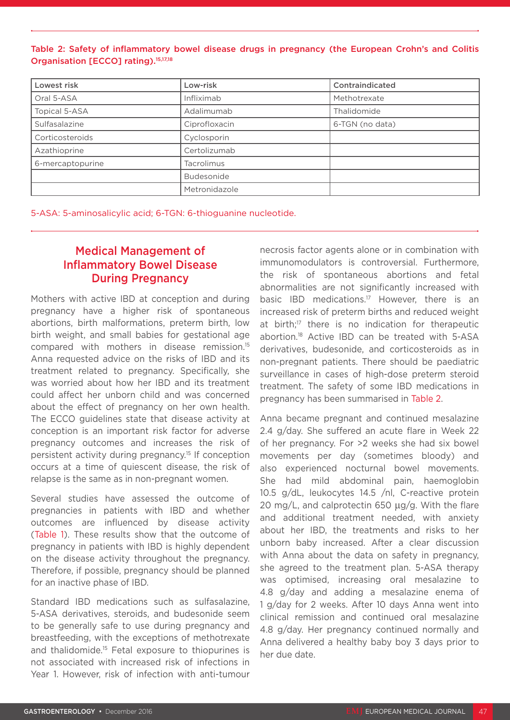#### Table 2: Safety of inflammatory bowel disease drugs in pregnancy (the European Crohn's and Colitis Organisation [ECCO] rating).<sup>15,17,18</sup>

| Lowest risk      | Low-risk      | Contraindicated |
|------------------|---------------|-----------------|
| Oral 5-ASA       | Infliximab    | Methotrexate    |
| Topical 5-ASA    | Adalimumab    | Thalidomide     |
| Sulfasalazine    | Ciprofloxacin | 6-TGN (no data) |
| Corticosteroids  | Cyclosporin   |                 |
| Azathioprine     | Certolizumab  |                 |
| 6-mercaptopurine | Tacrolimus    |                 |
|                  | Budesonide    |                 |
|                  | Metronidazole |                 |

5-ASA: 5-aminosalicylic acid; 6-TGN: 6-thioguanine nucleotide.

### Medical Management of Inflammatory Bowel Disease During Pregnancy

Mothers with active IBD at conception and during pregnancy have a higher risk of spontaneous abortions, birth malformations, preterm birth, low birth weight, and small babies for gestational age compared with mothers in disease remission.15 Anna requested advice on the risks of IBD and its treatment related to pregnancy. Specifically, she was worried about how her IBD and its treatment could affect her unborn child and was concerned about the effect of pregnancy on her own health. The ECCO guidelines state that disease activity at conception is an important risk factor for adverse pregnancy outcomes and increases the risk of persistent activity during pregnancy.15 If conception occurs at a time of quiescent disease, the risk of relapse is the same as in non-pregnant women.

Several studies have assessed the outcome of pregnancies in patients with IBD and whether outcomes are influenced by disease activity (Table 1). These results show that the outcome of pregnancy in patients with IBD is highly dependent on the disease activity throughout the pregnancy. Therefore, if possible, pregnancy should be planned for an inactive phase of IBD.

Standard IBD medications such as sulfasalazine, 5-ASA derivatives, steroids, and budesonide seem to be generally safe to use during pregnancy and breastfeeding, with the exceptions of methotrexate and thalidomide.<sup>15</sup> Fetal exposure to thiopurines is not associated with increased risk of infections in Year 1. However, risk of infection with anti-tumour necrosis factor agents alone or in combination with immunomodulators is controversial. Furthermore, the risk of spontaneous abortions and fetal abnormalities are not significantly increased with basic IBD medications.17 However, there is an increased risk of preterm births and reduced weight at birth:<sup>17</sup> there is no indication for therapeutic abortion.18 Active IBD can be treated with 5-ASA derivatives, budesonide, and corticosteroids as in non-pregnant patients. There should be paediatric surveillance in cases of high-dose preterm steroid treatment. The safety of some IBD medications in pregnancy has been summarised in Table 2.

Anna became pregnant and continued mesalazine 2.4 g/day. She suffered an acute flare in Week 22 of her pregnancy. For >2 weeks she had six bowel movements per day (sometimes bloody) and also experienced nocturnal bowel movements. She had mild abdominal pain, haemoglobin 10.5 g/dL, leukocytes 14.5 /nl, C-reactive protein 20 mg/L, and calprotectin 650  $\mu$ g/g. With the flare and additional treatment needed, with anxiety about her IBD, the treatments and risks to her unborn baby increased. After a clear discussion with Anna about the data on safety in pregnancy, she agreed to the treatment plan. 5-ASA therapy was optimised, increasing oral mesalazine to 4.8 g/day and adding a mesalazine enema of 1 g/day for 2 weeks. After 10 days Anna went into clinical remission and continued oral mesalazine 4.8 g/day. Her pregnancy continued normally and Anna delivered a healthy baby boy 3 days prior to her due date.